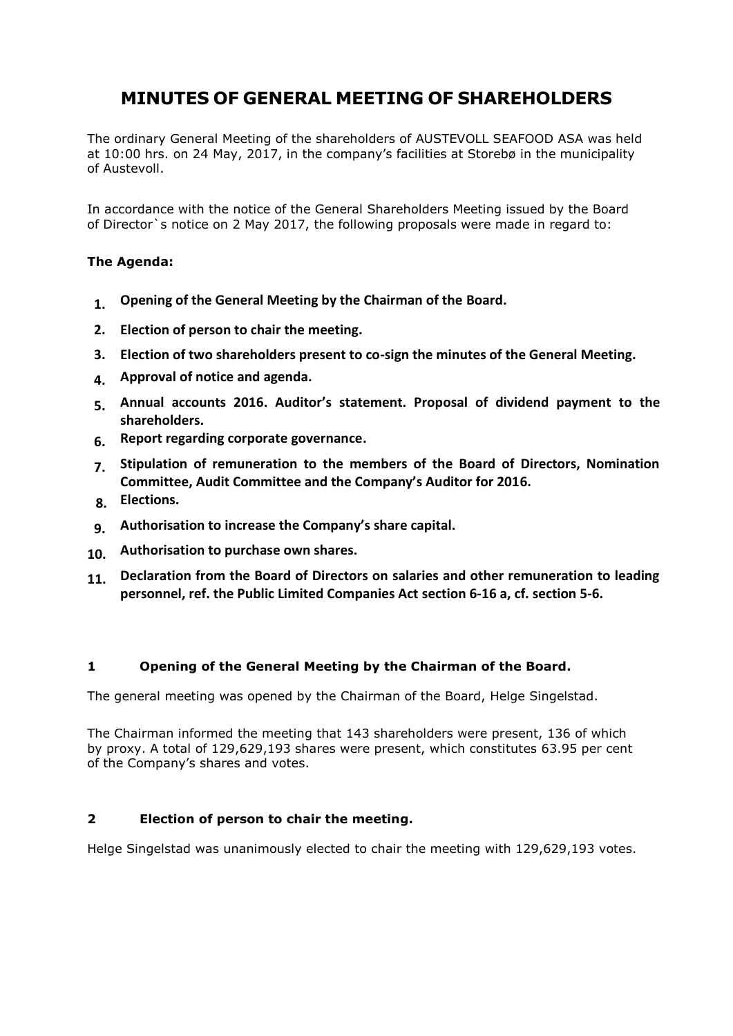# **MINUTES OF GENERAL MEETING OF SHAREHOLDERS**

The ordinary General Meeting of the shareholders of AUSTEVOLL SEAFOOD ASA was held at 10:00 hrs. on 24 May, 2017, in the company's facilities at Storebø in the municipality of Austevoll.

In accordance with the notice of the General Shareholders Meeting issued by the Board of Director`s notice on 2 May 2017, the following proposals were made in regard to:

# **The Agenda:**

- **1. Opening of the General Meeting by the Chairman of the Board.**
- **2. Election of person to chair the meeting.**
- **3. Election of two shareholders present to co-sign the minutes of the General Meeting.**
- **4. Approval of notice and agenda.**
- **5. Annual accounts 2016. Auditor's statement. Proposal of dividend payment to the shareholders.**
- **6. Report regarding corporate governance.**
- **7. Stipulation of remuneration to the members of the Board of Directors, Nomination Committee, Audit Committee and the Company's Auditor for 2016.**
- **8. Elections.**
- **9. Authorisation to increase the Company's share capital.**
- **10. Authorisation to purchase own shares.**
- **11. Declaration from the Board of Directors on salaries and other remuneration to leading personnel, ref. the Public Limited Companies Act section 6-16 a, cf. section 5-6.**

# **1 Opening of the General Meeting by the Chairman of the Board.**

The general meeting was opened by the Chairman of the Board, Helge Singelstad.

The Chairman informed the meeting that 143 shareholders were present, 136 of which by proxy. A total of 129,629,193 shares were present, which constitutes 63.95 per cent of the Company's shares and votes.

# **2 Election of person to chair the meeting.**

Helge Singelstad was unanimously elected to chair the meeting with 129,629,193 votes.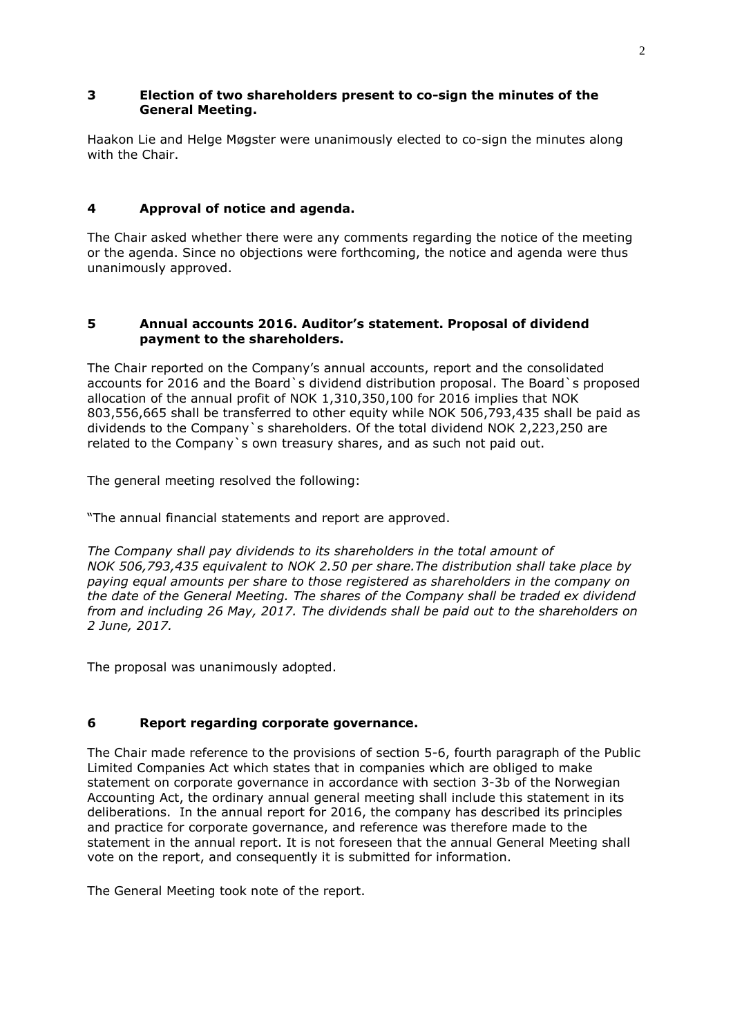# **3 Election of two shareholders present to co-sign the minutes of the General Meeting.**

Haakon Lie and Helge Møgster were unanimously elected to co-sign the minutes along with the Chair.

# **4 Approval of notice and agenda.**

The Chair asked whether there were any comments regarding the notice of the meeting or the agenda. Since no objections were forthcoming, the notice and agenda were thus unanimously approved.

# **5 Annual accounts 2016. Auditor's statement. Proposal of dividend payment to the shareholders.**

The Chair reported on the Company's annual accounts, report and the consolidated accounts for 2016 and the Board`s dividend distribution proposal. The Board`s proposed allocation of the annual profit of NOK 1,310,350,100 for 2016 implies that NOK 803,556,665 shall be transferred to other equity while NOK 506,793,435 shall be paid as dividends to the Company`s shareholders. Of the total dividend NOK 2,223,250 are related to the Company`s own treasury shares, and as such not paid out.

The general meeting resolved the following:

"The annual financial statements and report are approved.

*The Company shall pay dividends to its shareholders in the total amount of NOK 506,793,435 equivalent to NOK 2.50 per share.The distribution shall take place by paying equal amounts per share to those registered as shareholders in the company on the date of the General Meeting. The shares of the Company shall be traded ex dividend from and including 26 May, 2017. The dividends shall be paid out to the shareholders on 2 June, 2017.* 

The proposal was unanimously adopted.

# **6 Report regarding corporate governance.**

The Chair made reference to the provisions of section 5-6, fourth paragraph of the Public Limited Companies Act which states that in companies which are obliged to make statement on corporate governance in accordance with section 3-3b of the Norwegian Accounting Act, the ordinary annual general meeting shall include this statement in its deliberations. In the annual report for 2016, the company has described its principles and practice for corporate governance, and reference was therefore made to the statement in the annual report. It is not foreseen that the annual General Meeting shall vote on the report, and consequently it is submitted for information.

The General Meeting took note of the report.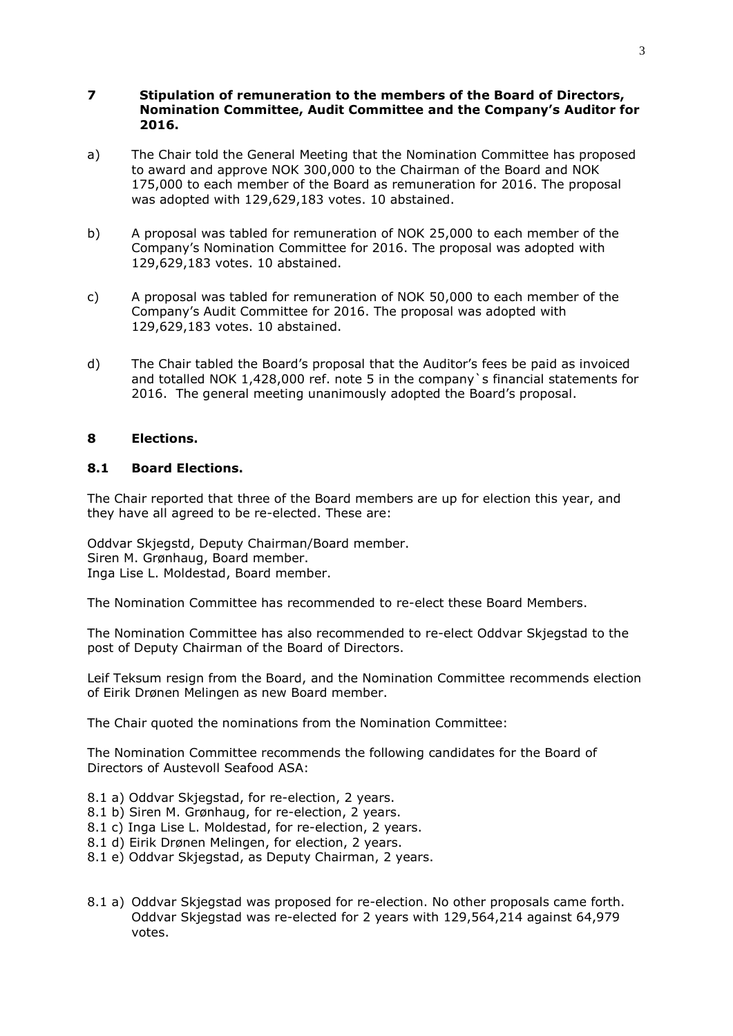#### **7 Stipulation of remuneration to the members of the Board of Directors, Nomination Committee, Audit Committee and the Company's Auditor for 2016.**

- a) The Chair told the General Meeting that the Nomination Committee has proposed to award and approve NOK 300,000 to the Chairman of the Board and NOK 175,000 to each member of the Board as remuneration for 2016. The proposal was adopted with 129,629,183 votes. 10 abstained.
- b) A proposal was tabled for remuneration of NOK 25,000 to each member of the Company's Nomination Committee for 2016. The proposal was adopted with 129,629,183 votes. 10 abstained.
- c) A proposal was tabled for remuneration of NOK 50,000 to each member of the Company's Audit Committee for 2016. The proposal was adopted with 129,629,183 votes. 10 abstained.
- d) The Chair tabled the Board's proposal that the Auditor's fees be paid as invoiced and totalled NOK 1,428,000 ref. note 5 in the company`s financial statements for 2016. The general meeting unanimously adopted the Board's proposal.

## **8 Elections.**

## **8.1 Board Elections.**

The Chair reported that three of the Board members are up for election this year, and they have all agreed to be re-elected. These are:

Oddvar Skjegstd, Deputy Chairman/Board member. Siren M. Grønhaug, Board member. Inga Lise L. Moldestad, Board member.

The Nomination Committee has recommended to re-elect these Board Members.

The Nomination Committee has also recommended to re-elect Oddvar Skjegstad to the post of Deputy Chairman of the Board of Directors.

Leif Teksum resign from the Board, and the Nomination Committee recommends election of Eirik Drønen Melingen as new Board member.

The Chair quoted the nominations from the Nomination Committee:

The Nomination Committee recommends the following candidates for the Board of Directors of Austevoll Seafood ASA:

- 8.1 a) Oddvar Skjegstad, for re-election, 2 years.
- 8.1 b) Siren M. Grønhaug, for re-election, 2 years.
- 8.1 c) Inga Lise L. Moldestad, for re-election, 2 years.
- 8.1 d) Eirik Drønen Melingen, for election, 2 years.
- 8.1 e) Oddvar Skjegstad, as Deputy Chairman, 2 years.
- 8.1 a) Oddvar Skjegstad was proposed for re-election. No other proposals came forth. Oddvar Skjegstad was re-elected for 2 years with 129,564,214 against 64,979 votes.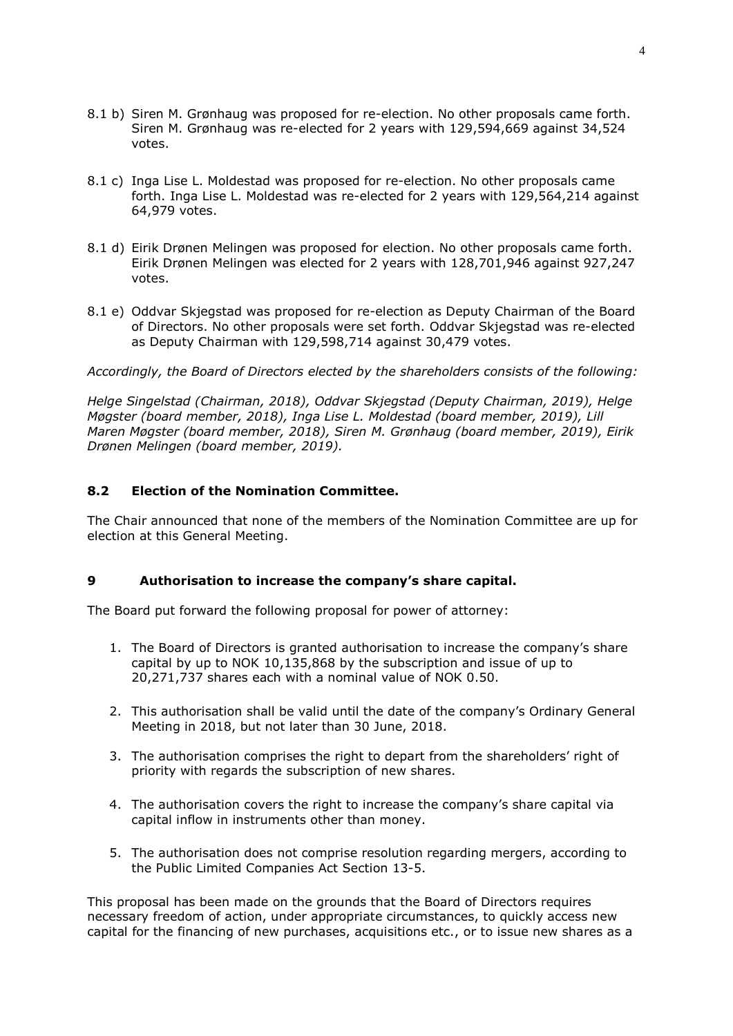- 8.1 b) Siren M. Grønhaug was proposed for re-election. No other proposals came forth. Siren M. Grønhaug was re-elected for 2 years with 129,594,669 against 34,524 votes.
- 8.1 c) Inga Lise L. Moldestad was proposed for re-election. No other proposals came forth. Inga Lise L. Moldestad was re-elected for 2 years with 129,564,214 against 64,979 votes.
- 8.1 d) Eirik Drønen Melingen was proposed for election. No other proposals came forth. Eirik Drønen Melingen was elected for 2 years with 128,701,946 against 927,247 votes.
- 8.1 e) Oddvar Skjegstad was proposed for re-election as Deputy Chairman of the Board of Directors. No other proposals were set forth. Oddvar Skjegstad was re-elected as Deputy Chairman with 129,598,714 against 30,479 votes.

*Accordingly, the Board of Directors elected by the shareholders consists of the following:*

*Helge Singelstad (Chairman, 2018), Oddvar Skjegstad (Deputy Chairman, 2019), Helge Møgster (board member, 2018), Inga Lise L. Moldestad (board member, 2019), Lill Maren Møgster (board member, 2018), Siren M. Grønhaug (board member, 2019), Eirik Drønen Melingen (board member, 2019).*

## **8.2 Election of the Nomination Committee.**

The Chair announced that none of the members of the Nomination Committee are up for election at this General Meeting.

## **9 Authorisation to increase the company's share capital.**

The Board put forward the following proposal for power of attorney:

- 1. The Board of Directors is granted authorisation to increase the company's share capital by up to NOK 10,135,868 by the subscription and issue of up to 20,271,737 shares each with a nominal value of NOK 0.50.
- 2. This authorisation shall be valid until the date of the company's Ordinary General Meeting in 2018, but not later than 30 June, 2018.
- 3. The authorisation comprises the right to depart from the shareholders' right of priority with regards the subscription of new shares.
- 4. The authorisation covers the right to increase the company's share capital via capital inflow in instruments other than money.
- 5. The authorisation does not comprise resolution regarding mergers, according to the Public Limited Companies Act Section 13-5.

This proposal has been made on the grounds that the Board of Directors requires necessary freedom of action, under appropriate circumstances, to quickly access new capital for the financing of new purchases, acquisitions etc., or to issue new shares as a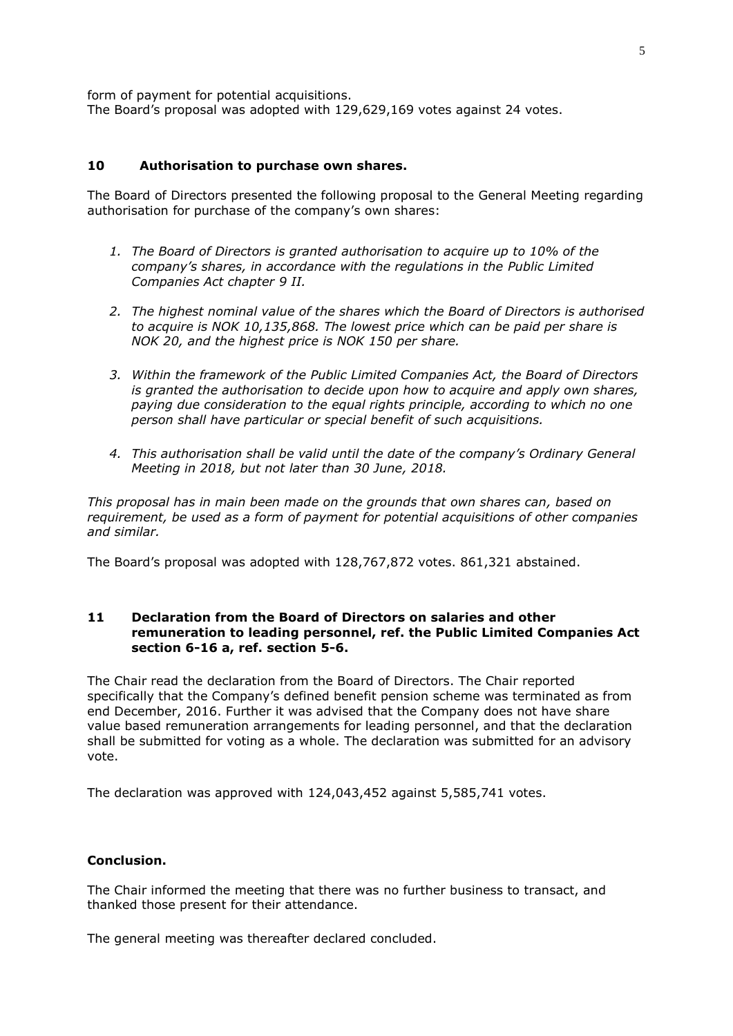form of payment for potential acquisitions. The Board's proposal was adopted with 129,629,169 votes against 24 votes.

#### **10 Authorisation to purchase own shares.**

The Board of Directors presented the following proposal to the General Meeting regarding authorisation for purchase of the company's own shares:

- *1. The Board of Directors is granted authorisation to acquire up to 10% of the company's shares, in accordance with the regulations in the Public Limited Companies Act chapter 9 II.*
- *2. The highest nominal value of the shares which the Board of Directors is authorised to acquire is NOK 10,135,868. The lowest price which can be paid per share is NOK 20, and the highest price is NOK 150 per share.*
- *3. Within the framework of the Public Limited Companies Act, the Board of Directors is granted the authorisation to decide upon how to acquire and apply own shares, paying due consideration to the equal rights principle, according to which no one person shall have particular or special benefit of such acquisitions.*
- *4. This authorisation shall be valid until the date of the company's Ordinary General Meeting in 2018, but not later than 30 June, 2018.*

*This proposal has in main been made on the grounds that own shares can, based on requirement, be used as a form of payment for potential acquisitions of other companies and similar.*

The Board's proposal was adopted with 128,767,872 votes. 861,321 abstained.

## **11 Declaration from the Board of Directors on salaries and other remuneration to leading personnel, ref. the Public Limited Companies Act section 6-16 a, ref. section 5-6.**

The Chair read the declaration from the Board of Directors. The Chair reported specifically that the Company's defined benefit pension scheme was terminated as from end December, 2016. Further it was advised that the Company does not have share value based remuneration arrangements for leading personnel, and that the declaration shall be submitted for voting as a whole. The declaration was submitted for an advisory vote.

The declaration was approved with 124,043,452 against 5,585,741 votes.

## **Conclusion.**

The Chair informed the meeting that there was no further business to transact, and thanked those present for their attendance.

The general meeting was thereafter declared concluded.